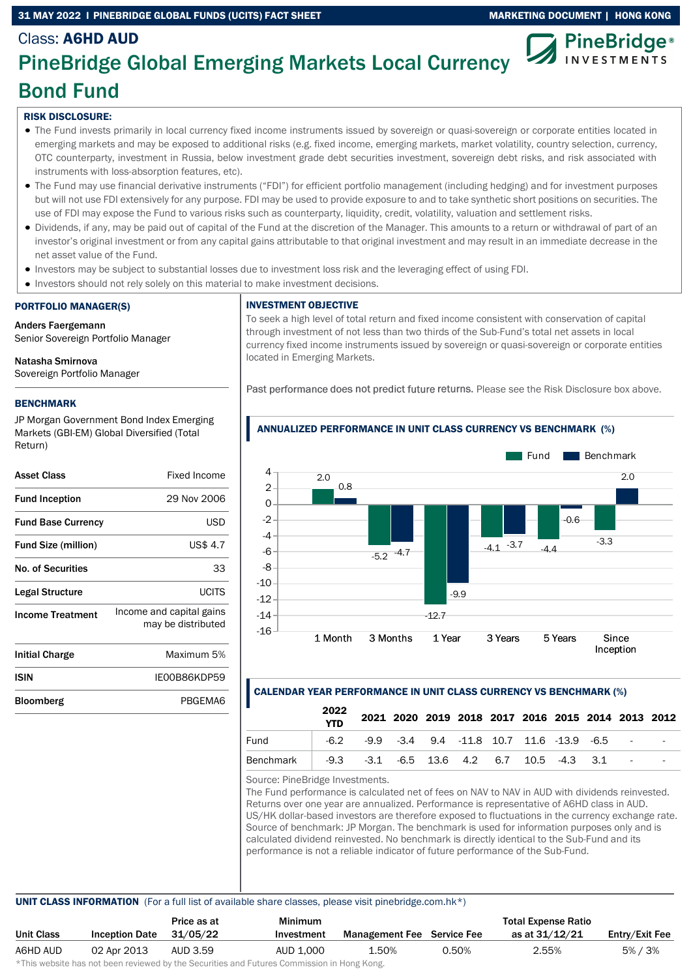### 31 MAY 2022 I PINEBRIDGE GLOBAL FUNDS (UCITS) FACT SHEET MARKETING DOCUMENT | HONG KONG



# Class: A6HD AUD PineBridge Global Emerging Markets Local Currency Bond Fund

## RISK DISCLOSURE:

- The Fund invests primarily in local currency fixed income instruments issued by sovereign or quasi-sovereign or corporate entities located in emerging markets and may be exposed to additional risks (e.g. fixed income, emerging markets, market volatility, country selection, currency, OTC counterparty, investment in Russia, below investment grade debt securities investment, sovereign debt risks, and risk associated with instruments with loss-absorption features, etc).
- The Fund may use financial derivative instruments ("FDI") for efficient portfolio management (including hedging) and for investment purposes but will not use FDI extensively for any purpose. FDI may be used to provide exposure to and to take synthetic short positions on securities. The use of FDI may expose the Fund to various risks such as counterparty, liquidity, credit, volatility, valuation and settlement risks.
- Dividends, if any, may be paid out of capital of the Fund at the discretion of the Manager. This amounts to a return or withdrawal of part of an investor's original investment or from any capital gains attributable to that original investment and may result in an immediate decrease in the net asset value of the Fund.
- Investors may be subject to substantial losses due to investment loss risk and the leveraging effect of using FDI.
- Investors should not rely solely on this material to make investment decisions.

# PORTFOLIO MANAGER(S)

Anders Faergemann Senior Sovereign Portfolio Manager

# Natasha Smirnova

Sovereign Portfolio Manager

# BENCHMARK

JP Morgan Government Bond Index Emerging Markets (GBI-EM) Global Diversified (Total Return)

| Asset Class                | Fixed Income                                   |
|----------------------------|------------------------------------------------|
| <b>Fund Inception</b>      | 29 Nov 2006                                    |
| <b>Fund Base Currency</b>  | USD                                            |
| <b>Fund Size (million)</b> | US\$ 4.7                                       |
| <b>No. of Securities</b>   | 33                                             |
| Legal Structure            | UCITS                                          |
| <b>Income Treatment</b>    | Income and capital gains<br>may be distributed |
| <b>Initial Charge</b>      | Maximum 5%                                     |
| ISIN                       | IE00B86KDP59                                   |
| Bloomberg                  | PBGEMA6                                        |

#### INVESTMENT OBJECTIVE

To seek a high level of total return and fixed income consistent with conservation of capital through investment of not less than two thirds of the Sub-Fund's total net assets in local currency fixed income instruments issued by sovereign or quasi-sovereign or corporate entities located in Emerging Markets.

Past performance does not predict future returns. Please see the Risk Disclosure box above.





# CALENDAR YEAR PERFORMANCE IN UNIT CLASS CURRENCY VS BENCHMARK (%)

|                  | 2022<br><b>YTD</b> |                                                                      |  | 2021 2020 2019 2018 2017 2016 2015 2014 2013 2012 |  |  |  |
|------------------|--------------------|----------------------------------------------------------------------|--|---------------------------------------------------|--|--|--|
| Fund             |                    | $-6.2$ $-9.9$ $-3.4$ $9.4$ $-11.8$ $10.7$ $11.6$ $-13.9$ $-6.5$ $-1$ |  |                                                   |  |  |  |
| <b>Benchmark</b> |                    | $-9.3$ $-3.1$ $-6.5$ 13.6 4.2 6.7 10.5 $-4.3$ 3.1 $-$                |  |                                                   |  |  |  |

Source: PineBridge Investments.

The Fund performance is calculated net of fees on NAV to NAV in AUD with dividends reinvested. Returns over one year are annualized. Performance is representative of A6HD class in AUD. US/HK dollar-based investors are therefore exposed to fluctuations in the currency exchange rate. Source of benchmark: JP Morgan. The benchmark is used for information purposes only and is calculated dividend reinvested. No benchmark is directly identical to the Sub-Fund and its performance is not a reliable indicator of future performance of the Sub-Fund.

#### UNIT CLASS INFORMATION (For a full list of available share classes, please visit pinebridge.com.hk\*)

|            |                       | Price as at | <b>Minimum</b> |                            |       | <b>Total Expense Ratio</b> |                |
|------------|-----------------------|-------------|----------------|----------------------------|-------|----------------------------|----------------|
| Unit Class | <b>Inception Date</b> | 31/05/22    | Investment     | Management Fee Service Fee |       | as at 31/12/21             | Entry/Exit Fee |
| A6HD AUD   | 02 Apr 2013           | AUD 3.59    | AUD 1.000      | 1.50%                      | 0.50% | 2.55%                      | $5\% / 3\%$    |

\*This website has not been reviewed by the Securities and Futures Commission in Hong Kong.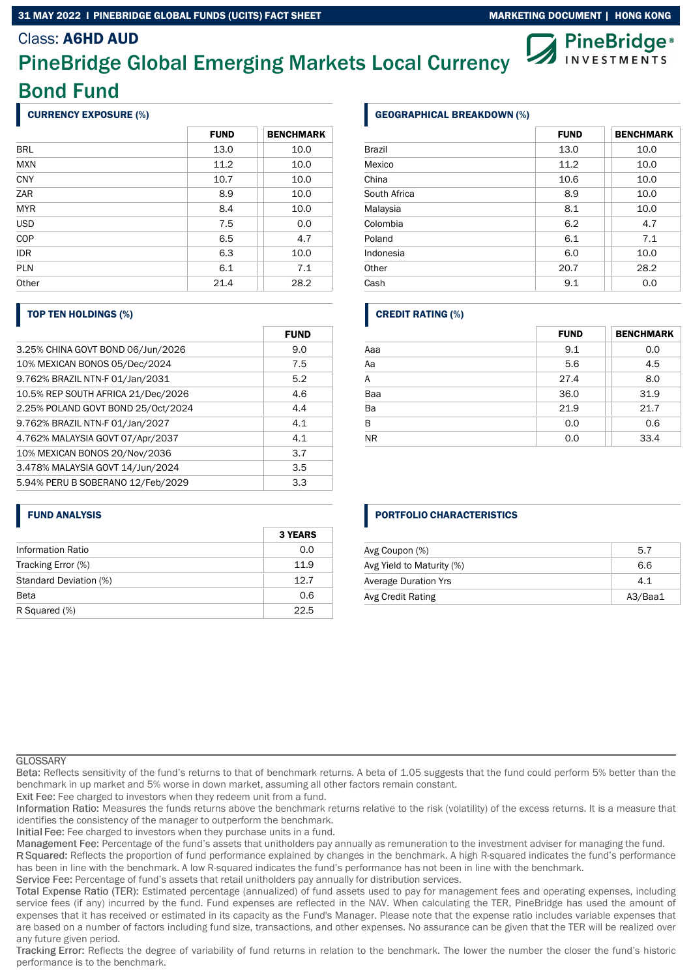#### 31 MAY 2022 I PINEBRIDGE GLOBAL FUNDS (UCITS) FACT SHEET MARKETING DOCUMENT | HONG KONG

# Class: A6HD AUD

# PineBridge Global Emerging Markets Local Currency Bond Fund

### CURRENCY EXPOSURE (%)

|            | <b>FUND</b> | <b>BENCHMARK</b> |
|------------|-------------|------------------|
| <b>BRL</b> | 13.0        | 10.0             |
| <b>MXN</b> | 11.2        | 10.0             |
| <b>CNY</b> | 10.7        | 10.0             |
| ZAR        | 8.9         | 10.0             |
| <b>MYR</b> | 8.4         | 10.0             |
| <b>USD</b> | 7.5         | 0.0              |
| COP        | 6.5         | 4.7              |
| <b>IDR</b> | 6.3         | 10.0             |
| <b>PLN</b> | 6.1         | 7.1              |
| Other      | 21.4        | 28.2             |

#### TOP TEN HOLDINGS (%)

|                                    | <b>FUND</b> |
|------------------------------------|-------------|
| 3.25% CHINA GOVT BOND 06/Jun/2026  | 9.0         |
| 10% MEXICAN BONOS 05/Dec/2024      | 7.5         |
| 9.762% BRAZIL NTN-F 01/Jan/2031    | 5.2         |
| 10.5% REP SOUTH AFRICA 21/Dec/2026 | 4.6         |
| 2.25% POLAND GOVT BOND 25/Oct/2024 | 4.4         |
| 9.762% BRAZIL NTN-F 01/Jan/2027    | 4.1         |
| 4.762% MALAYSIA GOVT 07/Apr/2037   | 4.1         |
| 10% MEXICAN BONOS 20/Nov/2036      | 3.7         |
| 3.478% MALAYSIA GOVT 14/Jun/2024   | 3.5         |
| 5.94% PERU B SOBERANO 12/Feb/2029  | 3.3         |

#### FUND ANALYSIS

|                          | <b>3 YEARS</b> |
|--------------------------|----------------|
| <b>Information Ratio</b> | 0.0            |
| Tracking Error (%)       | 11.9           |
| Standard Deviation (%)   | 12.7           |
| <b>Beta</b>              | 0.6            |
| R Squared (%)            | 22.5           |

#### GEOGRAPHICAL BREAKDOWN (%)

|               | <b>FUND</b> | <b>BENCHMARK</b> |
|---------------|-------------|------------------|
| <b>Brazil</b> | 13.0        | 10.0             |
| Mexico        | 11.2        | 10.0             |
| China         | 10.6        | 10.0             |
| South Africa  | 8.9         | 10.0             |
| Malaysia      | 8.1         | 10.0             |
| Colombia      | 6.2         | 4.7              |
| Poland        | 6.1         | 7.1              |
| Indonesia     | 6.0         | 10.0             |
| Other         | 20.7        | 28.2             |
| Cash          | 9.1         | 0.0              |

### CREDIT RATING (%)

|           | <b>FUND</b> | <b>BENCHMARK</b> |
|-----------|-------------|------------------|
| Aaa       | 9.1         | 0.0              |
| Aa        | 5.6         | 4.5              |
| A         | 27.4        | 8.0              |
| Baa       | 36.0        | 31.9             |
| Ba        | 21.9        | 21.7             |
| B         | 0.0         | 0.6              |
| <b>NR</b> | 0.0         | 33.4             |

#### PORTFOLIO CHARACTERISTICS

| Avg Coupon (%)              | 5.7     |
|-----------------------------|---------|
| Avg Yield to Maturity (%)   | 6.6     |
| <b>Average Duration Yrs</b> | 4.1     |
| Avg Credit Rating           | A3/Baa1 |

#### **GLOSSARY**

Reflects sensitivity of the fund's returns to that of benchmark returns. A beta of 1.05 suggests that the fund could perform 5% better than the benchmark in up market and 5% worse in down market, assuming all other factors remain constant.

Exit Fee: Fee charged to investors when they redeem unit from a fund.

Information Ratio: Measures the funds returns above the benchmark returns relative to the risk (volatility) of the excess returns. It is a measure that identifies the consistency of the manager to outperform the benchmark.

Initial Fee: Fee charged to investors when they purchase units in a fund.

Management Fee: Percentage of the fund's assets that unitholders pay annually as remuneration to the investment adviser for managing the fund.

R Squared: Reflects the proportion of fund performance explained by changes in the benchmark. A high R-squared indicates the fund's performance has been in line with the benchmark. A low R-squared indicates the fund's performance has not been in line with the benchmark.

Service Fee: Percentage of fund's assets that retail unitholders pay annually for distribution services.

Total Expense Ratio (TER): Estimated percentage (annualized) of fund assets used to pay for management fees and operating expenses, including service fees (if any) incurred by the fund. Fund expenses are reflected in the NAV. When calculating the TER, PineBridge has used the amount of expenses that it has received or estimated in its capacity as the Fund's Manager. Please note that the expense ratio includes variable expenses that are based on a number of factors including fund size, transactions, and other expenses. No assurance can be given that the TER will be realized over any future given period.

Tracking Error: Reflects the degree of variability of fund returns in relation to the benchmark. The lower the number the closer the fund's historic performance is to the benchmark.